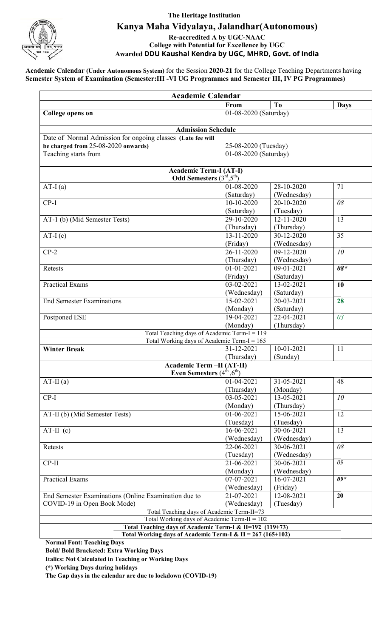

# The Heritage Institution Kanya Maha Vidyalaya, Jalandhar(Autonomous) Kanya

Re-accredited A by UGC-NAAC College with Potential for Excellence by UGC Awarded DDU Kaushal Kendra by UGC, MHRD, Govt. of India

Academic Calendar (Under Autonomous System) for the Session 2020-21 for the College Teaching Departments having Semester System of Examination (Semester: III -VI UG Programmes and Semester III, IV PG Programmes)

| <b>Academic Calendar</b>                                                                                   |                       |                       |                     |  |  |  |
|------------------------------------------------------------------------------------------------------------|-----------------------|-----------------------|---------------------|--|--|--|
|                                                                                                            | From                  | T <sub>0</sub>        | <b>Days</b>         |  |  |  |
| <b>College opens on</b>                                                                                    |                       | 01-08-2020 (Saturday) |                     |  |  |  |
|                                                                                                            |                       |                       |                     |  |  |  |
| <b>Admission Schedule</b>                                                                                  |                       |                       |                     |  |  |  |
| Date of Normal Admission for ongoing classes (Late fee will                                                |                       |                       |                     |  |  |  |
| be charged from 25-08-2020 onwards)                                                                        |                       | 25-08-2020 (Tuesday)  |                     |  |  |  |
| Teaching starts from                                                                                       | 01-08-2020 (Saturday) |                       |                     |  |  |  |
| <b>Academic Term-I (AT-I)</b>                                                                              |                       |                       |                     |  |  |  |
| <b>Odd Semesters</b> $(3^{rd}, 5^{th})$                                                                    |                       |                       |                     |  |  |  |
| $AT-I(a)$                                                                                                  | $01 - 08 - 2020$      | 28-10-2020            | 71                  |  |  |  |
|                                                                                                            | (Saturday)            | (Wednesday)           |                     |  |  |  |
| $CP-1$                                                                                                     | 10-10-2020            | 20-10-2020            | 08                  |  |  |  |
|                                                                                                            | (Saturday)            | (Tuesday)             |                     |  |  |  |
| AT-1 (b) (Mid Semester Tests)                                                                              | $29-10-2020$          | $12 - 11 - 2020$      | 13                  |  |  |  |
|                                                                                                            | (Thursday)            | (Thursday)            |                     |  |  |  |
| $AT-I(c)$                                                                                                  | 13-11-2020            | 30-12-2020            | 35                  |  |  |  |
|                                                                                                            | (Friday)              | (Wednesday)           |                     |  |  |  |
| $CP-2$                                                                                                     | 26-11-2020            | 09-12-2020            | 10 <sup>°</sup>     |  |  |  |
|                                                                                                            | (Thursday)            | (Wednesday)           |                     |  |  |  |
| Retests                                                                                                    | $01 - 01 - 2021$      | $09 - 01 - 2021$      | $08*$               |  |  |  |
|                                                                                                            | (Friday)              | (Saturday)            |                     |  |  |  |
| <b>Practical Exams</b>                                                                                     | $03 - 02 - 2021$      | 13-02-2021            | 10                  |  |  |  |
|                                                                                                            | (Wednesday)           | (Saturday)            |                     |  |  |  |
| <b>End Semester Examinations</b>                                                                           | 15-02-2021            | 20-03-2021            | 28                  |  |  |  |
|                                                                                                            | (Monday)              | (Saturday)            |                     |  |  |  |
| Postponed ESE                                                                                              | 19-04-2021            | 22-04-2021            | 03                  |  |  |  |
|                                                                                                            | (Monday)              | (Thursday)            |                     |  |  |  |
| Total Teaching days of Academic Term-I = 119                                                               |                       |                       |                     |  |  |  |
| Total Working days of Academic Term-I = 165                                                                |                       |                       |                     |  |  |  |
| <b>Winter Break</b>                                                                                        | 31-12-2021            | 10-01-2021            | 11                  |  |  |  |
|                                                                                                            | (Thursday)            | (Sunday)              |                     |  |  |  |
| <b>Academic Term -II (AT-II)</b>                                                                           |                       |                       |                     |  |  |  |
| Even Semesters (4 <sup>th</sup> , 6 <sup>th</sup> )                                                        |                       |                       |                     |  |  |  |
| $AT-II(a)$                                                                                                 | 01-04-2021            | 31-05-2021            | 48                  |  |  |  |
|                                                                                                            | (Thursday)            | (Monday)              |                     |  |  |  |
| $CP-I$                                                                                                     | 03-05-2021            | 13-05-2021            | 10                  |  |  |  |
|                                                                                                            | (Monday)              | (Thursday)            |                     |  |  |  |
| AT-II (b) (Mid Semester Tests)                                                                             | 01-06-2021            | 15-06-2021            | 12                  |  |  |  |
|                                                                                                            | (Tuesday)             | (Tuesday)             |                     |  |  |  |
| $AT-II$ (c)                                                                                                | 16-06-2021            | 30-06-2021            | 13                  |  |  |  |
|                                                                                                            | (Wednesday)           | (Wednesday)           | 08                  |  |  |  |
| Retests                                                                                                    | 22-06-2021            | 30-06-2021            |                     |  |  |  |
|                                                                                                            | (Tuesday)             | (Wednesday)           | $\overline{\theta}$ |  |  |  |
| $CP-II$                                                                                                    | 21-06-2021            | 30-06-2021            |                     |  |  |  |
|                                                                                                            | (Monday)              | (Wednesday)           | $09*$               |  |  |  |
| Practical Exams                                                                                            | 07-07-2021            | 16-07-2021            |                     |  |  |  |
|                                                                                                            | (Wednesday)           | (Friday)              | 20                  |  |  |  |
| End Semester Examinations (Online Examination due to                                                       | 21-07-2021            | 12-08-2021            |                     |  |  |  |
| COVID-19 in Open Book Mode)                                                                                | (Wednesday)           | (Tuesday)             |                     |  |  |  |
| Total Teaching days of Academic Term-II=73                                                                 |                       |                       |                     |  |  |  |
| Total Working days of Academic Term-II = $102$<br>Total Teaching days of Academic Term-I & II=192 (119+73) |                       |                       |                     |  |  |  |
| Total Working days of Academic Term-I & II = 267 (165+102)                                                 |                       |                       |                     |  |  |  |
| Normal Font: Togghing Dave                                                                                 |                       |                       |                     |  |  |  |

Normal Font: Teaching Days

Bold/ Bold Bracketed: Extra Working Days

Italics: Not Calculated in Teaching or Working Days

(\*) Working Days during holidays

The Gap days in the calendar are due to lockdown (COVID (COVID-19)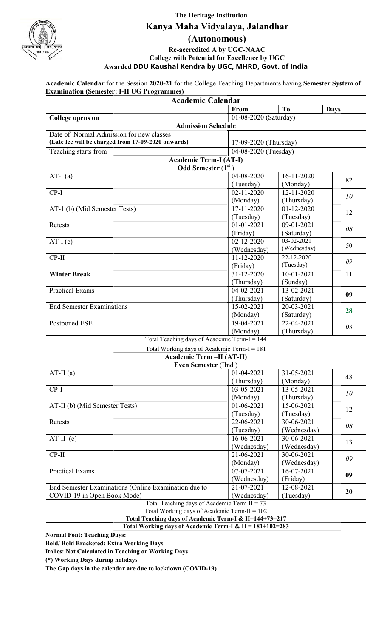

## The Heritage Institution Kanya Maha Vidyalaya, Jalandhar Vidyalaya, Jalandhar

# (Autonomous)

Awarded DDU Kaushal Kendra by UGC, MHRD, Govt. of India UGC, Re-accredited A by UGC-NAAC College with Potential for Excellence by UGC

Academic Calendar for the Session 2020-21 for the College Teaching Departments having Semester System of **Examination (Semester: I-II UG Programmes)** 

| <b>Academic Calendar</b>                                                                       |                       |                  |             |  |  |  |
|------------------------------------------------------------------------------------------------|-----------------------|------------------|-------------|--|--|--|
|                                                                                                | From                  | T <sub>0</sub>   | <b>Days</b> |  |  |  |
| <b>College opens on</b>                                                                        | 01-08-2020 (Saturday) |                  |             |  |  |  |
| <b>Admission Schedule</b>                                                                      |                       |                  |             |  |  |  |
| Date of Normal Admission for new classes<br>(Late fee will be charged from 17-09-2020 onwards) | 17-09-2020 (Thursday) |                  |             |  |  |  |
| Teaching starts from                                                                           | 04-08-2020 (Tuesday)  |                  |             |  |  |  |
|                                                                                                |                       |                  |             |  |  |  |
| <b>Academic Term-I (AT-I)</b><br><b>Odd Semester</b> $(1st)$                                   |                       |                  |             |  |  |  |
| $AT-I(a)$                                                                                      | 04-08-2020            | 16-11-2020       | 82          |  |  |  |
|                                                                                                | (Tuesday)             | (Monday)         |             |  |  |  |
| $CP-I$                                                                                         | $02 - 11 - 2020$      | 12-11-2020       | 10          |  |  |  |
|                                                                                                | (Monday)              | (Thursday)       |             |  |  |  |
| AT-1 (b) (Mid Semester Tests)                                                                  | 17-11-2020            | 01-12-2020       | 12          |  |  |  |
|                                                                                                | (Tuesday)             | (Tuesday)        |             |  |  |  |
| Retests                                                                                        | $01 - 01 - 2021$      | 09-01-2021       | 08          |  |  |  |
|                                                                                                | (Friday)              | (Saturday)       |             |  |  |  |
| $AT-I(c)$                                                                                      | $02 - 12 - 2020$      | $03 - 02 - 2021$ | 50          |  |  |  |
|                                                                                                | (Wednesday)           | (Wednesday)      |             |  |  |  |
| $CP-II$                                                                                        | $11 - 12 - 2020$      | 22-12-2020       | 09          |  |  |  |
|                                                                                                | (Friday)              | (Tuesday)        |             |  |  |  |
| <b>Winter Break</b>                                                                            | 31-12-2020            | 10-01-2021       | 11          |  |  |  |
|                                                                                                | (Thursday)            | (Sunday)         |             |  |  |  |
| <b>Practical Exams</b>                                                                         | 04-02-2021            | 13-02-2021       | 09          |  |  |  |
|                                                                                                | (Thursday)            | (Saturday)       |             |  |  |  |
| <b>End Semester Examinations</b>                                                               | $15 - 02 - 2021$      | 20-03-2021       | 28          |  |  |  |
|                                                                                                | (Monday)              | (Saturday)       |             |  |  |  |
| Postponed ESE                                                                                  | 19-04-2021            | 22-04-2021       | 03          |  |  |  |
|                                                                                                | (Monday)              | (Thursday)       |             |  |  |  |
| Total Teaching days of Academic Term-I = 144                                                   |                       |                  |             |  |  |  |
| Total Working days of Academic Term-I = $181$                                                  |                       |                  |             |  |  |  |
| Academic Term -II (AT-II)<br>Even Semester (IInd)                                              |                       |                  |             |  |  |  |
| $AT-II(a)$                                                                                     | 01-04-2021            | 31-05-2021       |             |  |  |  |
|                                                                                                | (Thursday)            | (Monday)         | 48          |  |  |  |
| $CP-I$                                                                                         | 03-05-2021            | 13-05-2021       |             |  |  |  |
|                                                                                                | (Monday)              | (Thursday)       | 10          |  |  |  |
| AT-II (b) (Mid Semester Tests)                                                                 | 01-06-2021            | 15-06-2021       |             |  |  |  |
|                                                                                                | (Tuesday)             | (Tuesday)        | 12          |  |  |  |
| Retests                                                                                        | 22-06-2021            | 30-06-2021       |             |  |  |  |
|                                                                                                | (Tuesday)             | (Wednesday)      | 08          |  |  |  |
| $AT-II$ (c)                                                                                    | $16 - 06 - 2021$      | 30-06-2021       |             |  |  |  |
|                                                                                                | (Wednesday)           | (Wednesday)      | 13          |  |  |  |
| $CP-II$                                                                                        | 21-06-2021            | 30-06-2021       |             |  |  |  |
|                                                                                                | (Monday)              | (Wednesday)      | 09          |  |  |  |
| <b>Practical Exams</b>                                                                         | 07-07-2021            | 16-07-2021       |             |  |  |  |
|                                                                                                | (Wednesday)           | (Friday)         | 09          |  |  |  |
| End Semester Examinations (Online Examination due to                                           | 21-07-2021            | 12-08-2021       |             |  |  |  |
| COVID-19 in Open Book Mode)                                                                    | (Wednesday)           | (Tuesday)        | 20          |  |  |  |
| Total Teaching days of Academic Term-II = $73$                                                 |                       |                  |             |  |  |  |
| Total Working days of Academic Term-II = $102$                                                 |                       |                  |             |  |  |  |
| Total Teaching days of Academic Term-I & II=144+73=217                                         |                       |                  |             |  |  |  |
| Total Working days of Academic Term-I & II = 181+102=283                                       |                       |                  |             |  |  |  |

Normal Font: Teaching Days:

Bold/ Bold Bracketed: Extra Working Days

Italics: Not Calculated in Teaching or Working Days

(\*) Working Days during holidays

The Gap days in the calendar are due to lockdown (COVID (COVID-19)